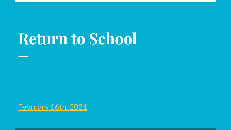# **Return to School**

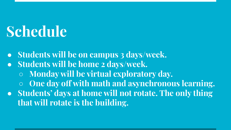# **Schedule**

**● Students will be on campus 3 days/week.**

**● Students will be home 2 days/week.**

**○ Monday will be virtual exploratory day.**

**○ One day off with math and asynchronous learning.** 

**● Students' days at home will not rotate. The only thing that will rotate is the building.**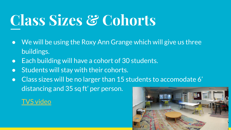# **Class Sizes & Cohorts**

- We will be using the Roxy Ann Grange which will give us three buildings.
- Each building will have a cohort of 30 students.
- Students will stay with their cohorts.
- Class sizes will be no larger than 15 students to accomodate 6' distancing and 35 sq ft' per person.

[TVS video](https://youtu.be/TjM8nuDrexc)

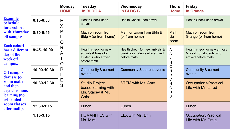|                                                                                                                                                                                                                                                                                                           |                | <b>Monday</b><br><b>HOME</b>                   | <b>Tuesday</b><br><b>In BLDG A</b>                                                  | Wednesday<br><b>In BLDG B</b>                                                    | <b>Thurs</b><br><b>Home</b>                                                    | <b>Friday</b><br>In Grange                                                       |
|-----------------------------------------------------------------------------------------------------------------------------------------------------------------------------------------------------------------------------------------------------------------------------------------------------------|----------------|------------------------------------------------|-------------------------------------------------------------------------------------|----------------------------------------------------------------------------------|--------------------------------------------------------------------------------|----------------------------------------------------------------------------------|
| <b>Example</b><br><b>Schedule</b><br>for a cohort<br>with Thursday<br>off campus.<br><b>Each cohort</b><br>has a different<br>day of the<br>week off<br>campus.<br><b>Off campus</b><br>day is 8:30<br>zoom math<br>and then<br>asynchronous<br>learning (no<br>scheduled<br>zoom classes<br>after math). | $8:15 - 8:30$  | E<br>X<br>P<br>O<br>R<br>A<br>O<br>R<br>Ε<br>S | Health Check upon<br>arrival                                                        | Health Check upon arrival                                                        |                                                                                | Health Check upon arrival                                                        |
|                                                                                                                                                                                                                                                                                                           | 8:30-9:45      |                                                | Math on zoom from<br>Bldg A (or from home)                                          | Math on zoom from Bldg B<br>(or from home)                                       | <b>Math</b><br>via<br>zoom                                                     | Math on zoom from<br>Grange (or from home)                                       |
|                                                                                                                                                                                                                                                                                                           | $9:45 - 10:00$ |                                                | Health check for new<br>arrivals & break for<br>students who arrived<br>before math | Health check for new arrivals &<br>break for students who arrived<br>before math | A<br>S<br>v<br>N<br>С<br>$\mathsf{H}$<br>$\mathsf{R}$<br>O<br>N<br>O<br>U<br>S | Health check for new arrivals<br>& break for students who<br>arrived before math |
|                                                                                                                                                                                                                                                                                                           | 10:00-10:30    |                                                | Community & current<br>events                                                       | Community & current events                                                       |                                                                                | Community & current<br>events                                                    |
|                                                                                                                                                                                                                                                                                                           | 10:30-12:30    |                                                | <b>Studio Project</b><br>based learning with<br>Ms. Stacey & Mr.<br>Gabe            | <b>STEM with Ms. Amy</b>                                                         |                                                                                | <b>Occupations/Practical</b><br>Life with Mr. Jared                              |
|                                                                                                                                                                                                                                                                                                           | 12:30-1:15     |                                                | Lunch                                                                               | Lunch                                                                            |                                                                                | Lunch                                                                            |
|                                                                                                                                                                                                                                                                                                           | $1:15-3:15$    |                                                | <b>HUMANITIES with</b><br>Ms. Mimi                                                  | ELA with Ms. Erin                                                                |                                                                                | Occupation/Practical<br>Life with Mr. Craig                                      |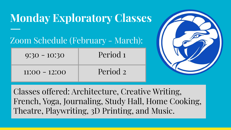## **Monday Exploratory Classes**

### Zoom Schedule (February - March):

| $9:30 - 10:30$  | Period <sub>1</sub> |
|-----------------|---------------------|
| $11:00 - 12:00$ | Period 2            |



Classes offered: Architecture, Creative Writing, French, Yoga, Journaling, Study Hall, Home Cooking, Theatre, Playwriting, 3D Printing, and Music.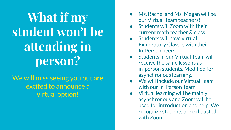## **What if my student won't be attending in person?**

We will miss seeing you but are excited to announce a virtual option!

- Ms. Rachel and Ms. Megan will be our Virtual Team teachers!
- Students will Zoom with their current math teacher & class
- **Students will have virtual** Exploratory Classes with their In-Person peers
- Students in our Virtual Team will receive the same lessons as in-person students. Modified for asynchronous learning.
- **We will include our Virtual Team** with our In-Person Team
- Virtual learning will be mainly asynchronous and Zoom will be used for introduction and help. We recognize students are exhausted with Zoom.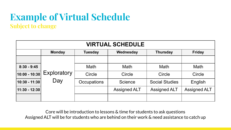### **Example of Virtual Schedule Subject to change**

| <b>VIRTUAL SCHEDULE</b> |               |                |                     |                       |                     |  |  |  |  |  |  |
|-------------------------|---------------|----------------|---------------------|-----------------------|---------------------|--|--|--|--|--|--|
|                         | <b>Monday</b> | <b>Tuesday</b> | Wednesday           | <b>Thursday</b>       | <b>Friday</b>       |  |  |  |  |  |  |
|                         |               |                |                     |                       |                     |  |  |  |  |  |  |
| $8:30 - 9:45$           |               | <b>Math</b>    | <b>Math</b>         | <b>Math</b>           | <b>Math</b>         |  |  |  |  |  |  |
| $ 10:00 - 10:30 $       | Exploratory   | Circle         | Circle              | Circle                | Circle              |  |  |  |  |  |  |
| 10:30 - 11:30           | Day           | Occupations    | <b>Science</b>      | <b>Social Studies</b> | English             |  |  |  |  |  |  |
| 11:30 - 12:30           |               |                | <b>Assigned ALT</b> | <b>Assigned ALT</b>   | <b>Assigned ALT</b> |  |  |  |  |  |  |
|                         |               |                |                     |                       |                     |  |  |  |  |  |  |

Core will be introduction to lessons & time for students to ask questions Assigned ALT will be for students who are behind on their work & need assistance to catch up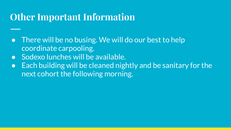## **Other Important Information**

- There will be no busing. We will do our best to help coordinate carpooling.
- Sodexo lunches will be available.
- Each building will be cleaned nightly and be sanitary for the next cohort the following morning.